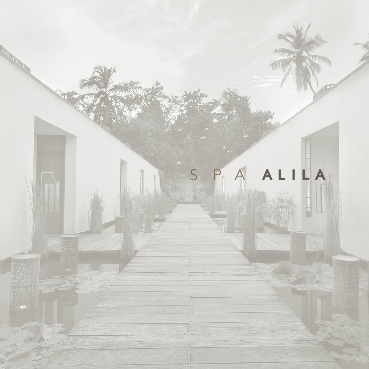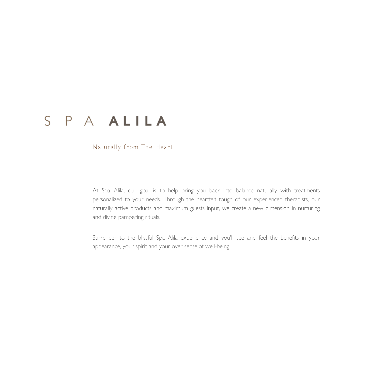# S P A ALILA

#### Naturally from The Heart

At Spa Alila, our goal is to help bring you back into balance naturally with treatments personalized to your needs. Through the heartfelt tough of our experienced therapists, our naturally active products and maximum guests input, we create a new dimension in nurturing and divine pampering rituals.

Surrender to the blissful Spa Alila experience and you'll see and feel the benefits in your appearance, your spirit and your over sense of well-being.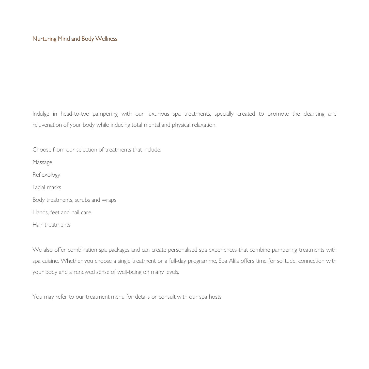Indulge in head-to-toe pampering with our luxurious spa treatments, specially created to promote the cleansing and rejuvenation of your body while inducing total mental and physical relaxation.

Choose from our selection of treatments that include:

Massage

Reflexology

Facial masks

Body treatments, scrubs and wraps

Hands, feet and nail care

Hair treatments

We also offer combination spa packages and can create personalised spa experiences that combine pampering treatments with spa cuisine. Whether you choose a single treatment or a full-day programme, Spa Alila offers time for solitude, connection with your body and a renewed sense of well-being on many levels.

You may refer to our treatment menu for details or consult with our spa hosts.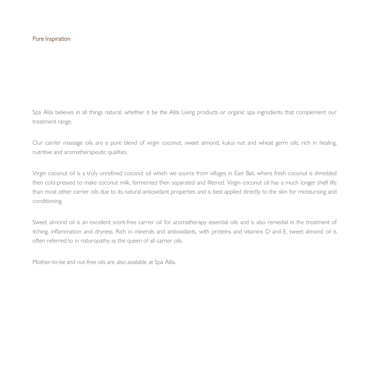#### Pure Inspiration

Spa Alila believes in all things natural, whether it be the Alila Living products or organic spa ingredients that complement our treatment range.

Our carrier massage oils are a pure blend of virgin coconut, sweet almond, kukui nut and wheat germ oils, rich in healing, nutritive and aromatherapeutic qualities.

Virgin coconut oil is a truly unrefined coconut oil which we source from villages in East Bali, where fresh coconut is shredded then cold-pressed to make coconut milk, fermented then separated and filtered. Virgin coconut oil has a much longer shelf life than most other carrier oils due to its natural antioxidant properties and is best applied directly to the skin for moisturising and conditioning.

Sweet almond oil is an excellent scent-free carrier oil for aromatherapy essential oils and is also remedial in the treatment of itching, inflammation and dryness. Rich in minerals and antioxidants, with proteins and vitamins D and E, sweet almond oil is often referred to in naturopathy as the queen of all carrier oils.

Mother-to-be and nut-free oils are also available at Spa Alila.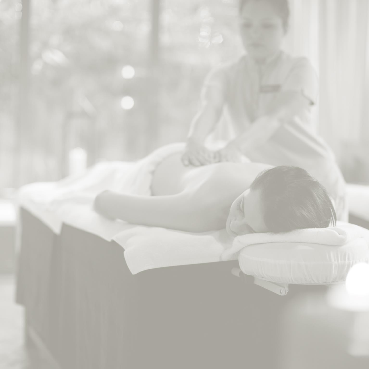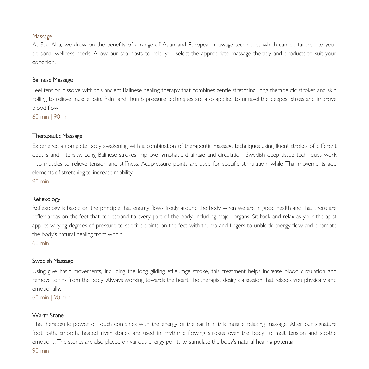#### Massage

At Spa Alila, we draw on the benefits of a range of Asian and European massage techniques which can be tailored to your personal wellness needs. Allow our spa hosts to help you select the appropriate massage therapy and products to suit your condition.

#### Balinese Massage

Feel tension dissolve with this ancient Balinese healing therapy that combines gentle stretching, long therapeutic strokes and skin rolling to relieve muscle pain. Palm and thumb pressure techniques are also applied to unravel the deepest stress and improve blood flow.

60 min | 90 min

#### Therapeutic Massage

Experience a complete body awakening with a combination of therapeutic massage techniques using fluent strokes of different depths and intensity. Long Balinese strokes improve lymphatic drainage and circulation. Swedish deep tissue techniques work into muscles to relieve tension and stiffness. Acupressure points are used for specific stimulation, while Thai movements add elements of stretching to increase mobility.

90 min

#### Reflexology

Reflexology is based on the principle that energy flows freely around the body when we are in good health and that there are reflex areas on the feet that correspond to every part of the body, including major organs. Sit back and relax as your therapist applies varying degrees of pressure to specific points on the feet with thumb and fingers to unblock energy flow and promote the body's natural healing from within.

60 min

#### Swedish Massage

Using give basic movements, including the long gliding effleurage stroke, this treatment helps increase blood circulation and remove toxins from the body. Always working towards the heart, the therapist designs a session that relaxes you physically and emotionally.

60 min | 90 min

#### Warm Stone

The therapeutic power of touch combines with the energy of the earth in this muscle relaxing massage. After our signature foot bath, smooth, heated river stones are used in rhythmic flowing strokes over the body to melt tension and soothe emotions. The stones are also placed on various energy points to stimulate the body's natural healing potential.

90 min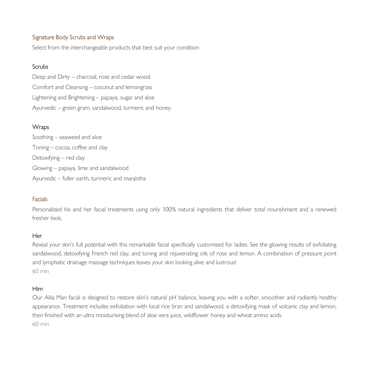### Signature Body Scrubs and Wraps

Select from the interchangeable products that best suit your condition

# Scrubs

Deep and Dirty – charcoal, rose and cedar wood Comfort and Cleansing – coconut and lemongrass Lightening and Brightening – papaya, sugar and aloe Ayurvedic – green gram, sandalwood, turmeric and honey.

# Wraps

Soothing – seaweed and aloe Toning – cocoa, coffee and clay Detoxifying – red clay Glowing – papaya, lime and sandalwood Ayurvedic – fuller earth, turmeric and manjistha

#### Facials

Personalized his and her facial treatments using only 100% natural ingredients that deliver total nourishment and a renewed fresher look.

#### Her

Reveal your skin's full potential with this remarkable facial specifically customised for ladies. See the glowing results of exfoliating sandalwood, detoxifying French red clay, and toning and rejuvenating oils of rose and lemon. A combination of pressure point and lymphatic drainage massage techniques leaves your skin looking alive and lustrous! 60 min

#### Him

Our Alila Man facial is designed to restore skin's natural pH balance, leaving you with a softer, smoother and radiantly healthy appearance. Treatment includes exfoliation with local rice bran and sandalwood, a detoxifying mask of volcanic clay and lemon, then finished with an ultra moisturising blend of aloe vera juice, wildflower honey and wheat amino acids. 60 min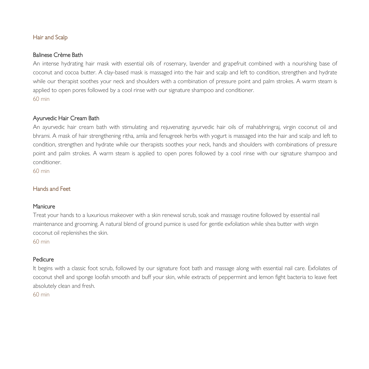# Hair and Scalp

#### Balinese Crème Bath

An intense hydrating hair mask with essential oils of rosemary, lavender and grapefruit combined with a nourishing base of coconut and cocoa butter. A clay-based mask is massaged into the hair and scalp and left to condition, strengthen and hydrate while our therapist soothes your neck and shoulders with a combination of pressure point and palm strokes. A warm steam is applied to open pores followed by a cool rinse with our signature shampoo and conditioner. 60 min

#### Ayurvedic Hair Cream Bath

An ayurvedic hair cream bath with stimulating and rejuvenating ayurvedic hair oils of mahabhringraj, virgin coconut oil and bhrami. A mask of hair strengthening ritha, amla and fenugreek herbs with yogurt is massaged into the hair and scalp and left to condition, strengthen and hydrate while our therapists soothes your neck, hands and shoulders with combinations of pressure point and palm strokes. A warm steam is applied to open pores followed by a cool rinse with our signature shampoo and conditioner.

60 min

#### Hands and Feet

#### Manicure

Treat your hands to a luxurious makeover with a skin renewal scrub, soak and massage routine followed by essential nail maintenance and grooming. A natural blend of ground pumice is used for gentle exfoliation while shea butter with virgin coconut oil replenishes the skin.

60 min

#### Pedicure

It begins with a classic foot scrub, followed by our signature foot bath and massage along with essential nail care. Exfoliates of coconut shell and sponge loofah smooth and buff your skin, while extracts of peppermint and lemon fight bacteria to leave feet absolutely clean and fresh.

60 min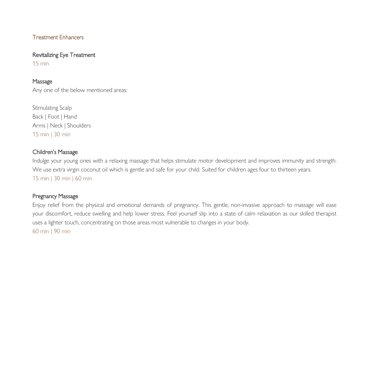# Treatment Enhancers

#### Revitalizing Eye Treatment

15 min

#### Massage

Any one of the below mentioned areas:

Stimulating Scalp Back | Foot | Hand Arms | Neck | Shoulders 15 min | 30 min

# Children's Massage

Indulge your young ones with a relaxing massage that helps stimulate motor development and improves immunity and strength. We use extra virgin coconut oil which is gentle and safe for your child. Suited for children ages four to thirteen years. 15 min | 30 min | 60 min

#### Pregnancy Massage

Enjoy relief from the physical and emotional demands of pregnancy. This gentle, non-invasive approach to massage will ease your discomfort, reduce swelling and help lower stress. Feel yourself slip into a state of calm relaxation as our skilled therapist uses a lighter touch, concentrating on those areas most vulnerable to changes in your body.

60 min | 90 min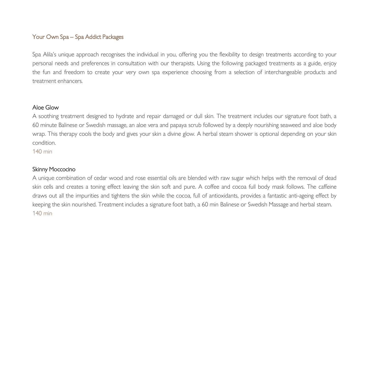# Your Own Spa – Spa Addict Packages

Spa Alila's unique approach recognises the individual in you, offering you the flexibility to design treatments according to your personal needs and preferences in consultation with our therapists. Using the following packaged treatments as a guide, enjoy the fun and freedom to create your very own spa experience choosing from a selection of interchangeable products and treatment enhancers.

#### Aloe Glow

A soothing treatment designed to hydrate and repair damaged or dull skin. The treatment includes our signature foot bath, a 60 minute Balinese or Swedish massage, an aloe vera and papaya scrub followed by a deeply nourishing seaweed and aloe body wrap. This therapy cools the body and gives your skin a divine glow. A herbal steam shower is optional depending on your skin condition.

140 min

### Skinny Moccocino

A unique combination of cedar wood and rose essential oils are blended with raw sugar which helps with the removal of dead skin cells and creates a toning effect leaving the skin soft and pure. A coffee and cocoa full body mask follows. The caffeine draws out all the impurities and tightens the skin while the cocoa, full of antioxidants, provides a fantastic anti-ageing effect by keeping the skin nourished. Treatment includes a signature foot bath, a 60 min Balinese or Swedish Massage and herbal steam. 140 min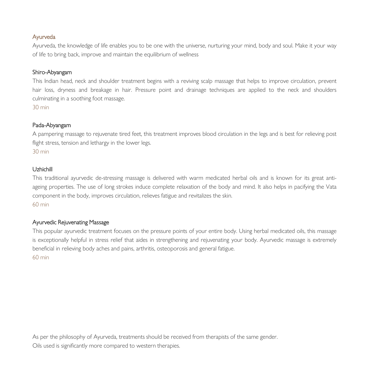#### Ayurveda

Ayurveda, the knowledge of life enables you to be one with the universe, nurturing your mind, body and soul. Make it your way of life to bring back, improve and maintain the equilibrium of wellness

#### Shiro-Abyangam

This Indian head, neck and shoulder treatment begins with a reviving scalp massage that helps to improve circulation, prevent hair loss, dryness and breakage in hair. Pressure point and drainage techniques are applied to the neck and shoulders culminating in a soothing foot massage.

30 min

#### Pada-Abyangam

A pampering massage to rejuvenate tired feet, this treatment improves blood circulation in the legs and is best for relieving post flight stress, tension and lethargy in the lower legs.

30 min

#### Uzhichill

This traditional ayurvedic de-stressing massage is delivered with warm medicated herbal oils and is known for its great antiageing properties. The use of long strokes induce complete relaxation of the body and mind. It also helps in pacifying the Vata component in the body, improves circulation, relieves fatigue and revitalizes the skin. 60 min

#### Ayurvedic Rejuvenating Massage

This popular ayurvedic treatment focuses on the pressure points of your entire body. Using herbal medicated oils, this massage is exceptionally helpful in stress relief that aides in strengthening and rejuvenating your body. Ayurvedic massage is extremely beneficial in relieving body aches and pains, arthritis, osteoporosis and general fatigue. 60 min

As per the philosophy of Ayurveda, treatments should be received from therapists of the same gender. Oils used is significantly more compared to western therapies.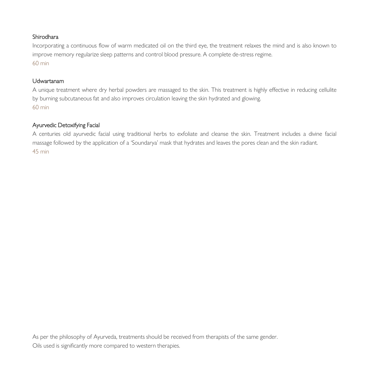#### Shirodhara

Incorporating a continuous flow of warm medicated oil on the third eye, the treatment relaxes the mind and is also known to improve memory regularize sleep patterns and control blood pressure. A complete de-stress regime. 60 min

#### Udwartanam

A unique treatment where dry herbal powders are massaged to the skin. This treatment is highly effective in reducing cellulite by burning subcutaneous fat and also improves circulation leaving the skin hydrated and glowing. 60 min

# Ayurvedic Detoxifying Facial

A centuries old ayurvedic facial using traditional herbs to exfoliate and cleanse the skin. Treatment includes a divine facial massage followed by the application of a 'Soundarya' mask that hydrates and leaves the pores clean and the skin radiant. 45 min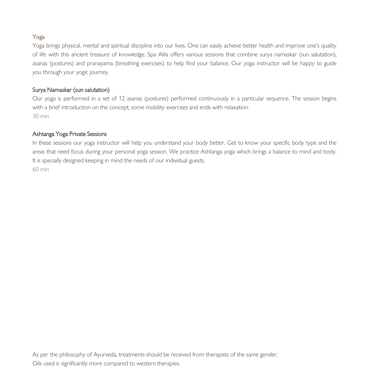# Yoga

Yoga brings physical, mental and spiritual discipline into our lives. One can easily achieve better health and improve one's quality of life with this ancient treasure of knowledge. Spa Alila offers various sessions that combine surya namaskar (sun salutation), asanas (postures) and pranayama (breathing exercises) to help find your balance. Our yoga instructor will be happy to guide you through your yogic journey.

### Surya Namaskar (sun salutation)

Our yoga is performed in a set of 12 asanas (postures) performed continuously in a particular sequence. The session begins with a brief introduction on the concept, some mobility exercises and ends with relaxation. 30 min

# Ashtanga Yoga Private Sessions

In these sessions our yoga instructor will help you understand your body better. Get to know your specific body type and the areas that need focus during your personal yoga session. We practice Ashtanga yoga which brings a balance to mind and body. It is specially designed keeping in mind the needs of our individual guests. 60 min

As per the philosophy of Ayurveda, treatments should be received from therapists of the same gender. Oils used is significantly more compared to western therapies.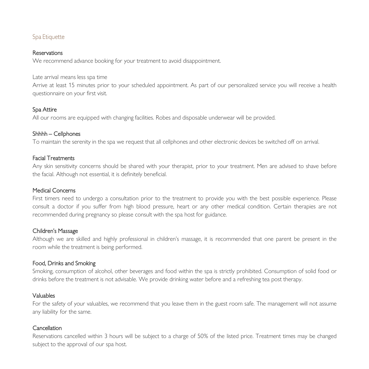# Spa Etiquette

#### Reservations

We recommend advance booking for your treatment to avoid disappointment.

Late arrival means less spa time

Arrive at least 15 minutes prior to your scheduled appointment. As part of our personalized service you will receive a health questionnaire on your first visit.

# Spa Attire

All our rooms are equipped with changing facilities. Robes and disposable underwear will be provided.

#### Shhhh – Cellphones

To maintain the serenity in the spa we request that all cellphones and other electronic devices be switched off on arrival.

#### Facial Treatments

Any skin sensitivity concerns should be shared with your therapist, prior to your treatment. Men are advised to shave before the facial. Although not essential, it is definitely beneficial.

#### Medical Concerns

First timers need to undergo a consultation prior to the treatment to provide you with the best possible experience. Please consult a doctor if you suffer from high blood pressure, heart or any other medical condition. Certain therapies are not recommended during pregnancy so please consult with the spa host for guidance.

#### Children's Massage

Although we are skilled and highly professional in children's massage, it is recommended that one parent be present in the room while the treatment is being performed.

#### Food, Drinks and Smoking

Smoking, consumption of alcohol, other beverages and food within the spa is strictly prohibited. Consumption of solid food or drinks before the treatment is not advisable. We provide drinking water before and a refreshing tea post therapy.

#### Valuables

For the safety of your valuables, we recommend that you leave them in the guest room safe. The management will not assume any liability for the same.

#### Cancellation

Reservations cancelled within 3 hours will be subject to a charge of 50% of the listed price. Treatment times may be changed subject to the approval of our spa host.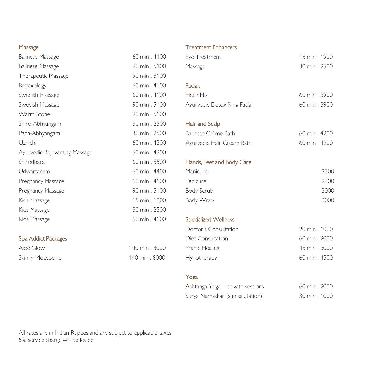#### Massage

| <b>Balinese Massage</b>       | 60 min . 4100 |
|-------------------------------|---------------|
| Balinese Massage              | 90 min . 5100 |
| Therapeutic Massage           | 90 min . 5100 |
| Reflexology                   | 60 min . 4100 |
| Swedish Massage               | 60 min . 4100 |
| Swedish Massage               | 90 min . 5100 |
| Warm Stone                    | 90 min . 5100 |
| Shiro-Abhyangam               | 30 min . 2500 |
| Pada-Abhyangam                | 30 min. 2500  |
| Uzhichill                     | 60 min. 4200  |
| Ayurvedic Rejuvanting Massage | 60 min. 4300  |
| Shirodhara                    | 60 min. 5500  |
| Udwartanam                    | 60 min. 4400  |
| Pregnancy Massage             | 60 min . 4100 |
| Pregnancy Massage             | 90 min . 5100 |
| Kids Massage                  | 15 min. 1800  |
| Kids Massage                  | 30 min. 2500  |
| Kids Massage                  | 60 min . 4100 |
|                               |               |

# Spa Addict Packages

Aloe Glow 140 min . 8000 Skinny Moccocino 140 min . 8000

# Her / His 60 min . 3900 Ayurvedic Detoxifying Facial 60 min . 3900 Hair and Scalp

Facials

| Balinese Crème Bath       | 60 min . 4200 |
|---------------------------|---------------|
| Ayurvedic Hair Cream Bath | 60 min . 4200 |

Eye Treatment 15 min . 1900 Massage 30 min . 2500

# Hands, Feet and Body Care

Treatment Enhancers

| Manicure   | 2300 |
|------------|------|
| Pedicure   | 2300 |
| Body Scrub | 3000 |
| Body Wrap  | 3000 |

#### Specialized Wellness

| Doctor's Consultation | 20 min. 1000            |
|-----------------------|-------------------------|
| Diet Consultation     | 60 min. 2000            |
| Pranic Healing        | 45 min. 3000            |
| Hynotherapy           | $60 \text{ min}$ . 4500 |

# Yoga

| Ashtanga Yoga – private sessions | 60 min. 2000 |
|----------------------------------|--------------|
| Surya Namaskar (sun salutation)  | 30 min. 1000 |

All rates are in Indian Rupees and are subject to applicable taxes. 5% service charge will be levied.